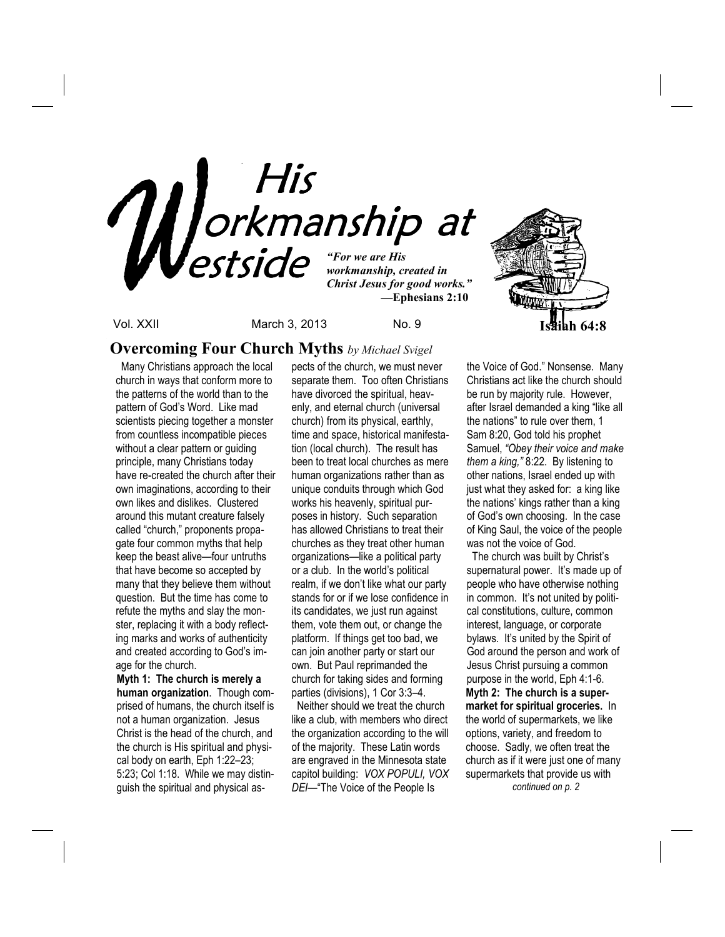

 *—***Ephesians 2:10**



Vol. XXII March 3, 2013 No. 9 **Isaiah 64:8**

## **Overcoming Four Church Myths** *by Michael Svigel*

 Many Christians approach the local church in ways that conform more to the patterns of the world than to the pattern of God's Word. Like mad scientists piecing together a monster from countless incompatible pieces without a clear pattern or guiding principle, many Christians today have re-created the church after their own imaginations, according to their own likes and dislikes. Clustered around this mutant creature falsely called "church," proponents propagate four common myths that help keep the beast alive—four untruths that have become so accepted by many that they believe them without question. But the time has come to refute the myths and slay the monster, replacing it with a body reflecting marks and works of authenticity and created according to God's image for the church.

**Myth 1: The church is merely a human organization**. Though comprised of humans, the church itself is not a human organization. Jesus Christ is the head of the church, and the church is His spiritual and physical body on earth, Eph 1:22–23; 5:23; Col 1:18. While we may distinguish the spiritual and physical aspects of the church, we must never separate them. Too often Christians have divorced the spiritual, heavenly, and eternal church (universal church) from its physical, earthly, time and space, historical manifestation (local church). The result has been to treat local churches as mere human organizations rather than as unique conduits through which God works his heavenly, spiritual purposes in history. Such separation has allowed Christians to treat their churches as they treat other human organizations—like a political party or a club. In the world's political realm, if we don't like what our party stands for or if we lose confidence in its candidates, we just run against them, vote them out, or change the platform. If things get too bad, we can join another party or start our own. But Paul reprimanded the church for taking sides and forming parties (divisions), 1 Cor 3:3–4.

 Neither should we treat the church like a club, with members who direct the organization according to the will of the majority. These Latin words are engraved in the Minnesota state capitol building: *VOX POPULI, VOX DEI*—"The Voice of the People Is

the Voice of God." Nonsense. Many Christians act like the church should be run by majority rule. However, after Israel demanded a king "like all the nations" to rule over them, 1 Sam 8:20, God told his prophet Samuel, *"Obey their voice and make them a king,"* 8:22. By listening to other nations, Israel ended up with just what they asked for: a king like the nations' kings rather than a king of God's own choosing. In the case of King Saul, the voice of the people was not the voice of God.

 The church was built by Christ's supernatural power. It's made up of people who have otherwise nothing in common. It's not united by political constitutions, culture, common interest, language, or corporate bylaws. It's united by the Spirit of God around the person and work of Jesus Christ pursuing a common purpose in the world, Eph 4:1-6. **Myth 2: The church is a supermarket for spiritual groceries.** In the world of supermarkets, we like options, variety, and freedom to choose. Sadly, we often treat the church as if it were just one of many supermarkets that provide us with *continued on p. 2*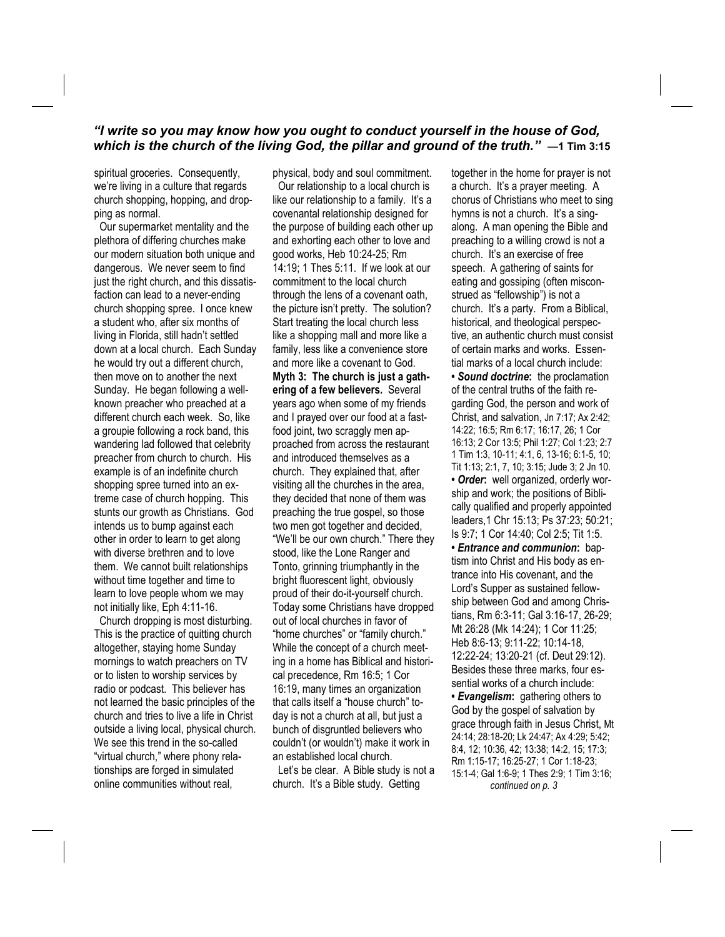### *"I write so you may know how you ought to conduct yourself in the house of God, which is the church of the living God, the pillar and ground of the truth."* **—1 Tim 3:15**

spiritual groceries. Consequently, we're living in a culture that regards church shopping, hopping, and dropping as normal.

 Our supermarket mentality and the plethora of differing churches make our modern situation both unique and dangerous. We never seem to find just the right church, and this dissatisfaction can lead to a never-ending church shopping spree. I once knew a student who, after six months of living in Florida, still hadn't settled down at a local church. Each Sunday he would try out a different church, then move on to another the next Sunday. He began following a wellknown preacher who preached at a different church each week. So, like a groupie following a rock band, this wandering lad followed that celebrity preacher from church to church. His example is of an indefinite church shopping spree turned into an extreme case of church hopping. This stunts our growth as Christians. God intends us to bump against each other in order to learn to get along with diverse brethren and to love them. We cannot built relationships without time together and time to learn to love people whom we may not initially like, Eph 4:11-16.

 Church dropping is most disturbing. This is the practice of quitting church altogether, staying home Sunday mornings to watch preachers on TV or to listen to worship services by radio or podcast. This believer has not learned the basic principles of the church and tries to live a life in Christ outside a living local, physical church. We see this trend in the so-called "virtual church," where phony relationships are forged in simulated online communities without real,

physical, body and soul commitment. Our relationship to a local church is like our relationship to a family. It's a covenantal relationship designed for the purpose of building each other up and exhorting each other to love and good works, Heb 10:24-25; Rm 14:19; 1 Thes 5:11. If we look at our commitment to the local church through the lens of a covenant oath, the picture isn't pretty. The solution? Start treating the local church less like a shopping mall and more like a family, less like a convenience store and more like a covenant to God. **Myth 3: The church is just a gathering of a few believers.** Several years ago when some of my friends and I prayed over our food at a fastfood joint, two scraggly men approached from across the restaurant and introduced themselves as a church. They explained that, after visiting all the churches in the area, they decided that none of them was preaching the true gospel, so those two men got together and decided, "We'll be our own church." There they stood, like the Lone Ranger and Tonto, grinning triumphantly in the bright fluorescent light, obviously proud of their do-it-yourself church. Today some Christians have dropped out of local churches in favor of "home churches" or "family church." While the concept of a church meeting in a home has Biblical and historical precedence, Rm 16:5; 1 Cor 16:19, many times an organization that calls itself a "house church" today is not a church at all, but just a bunch of disgruntled believers who couldn't (or wouldn't) make it work in an established local church.

 Let's be clear. A Bible study is not a church. It's a Bible study. Getting

together in the home for prayer is not a church. It's a prayer meeting. A chorus of Christians who meet to sing hymns is not a church. It's a singalong. A man opening the Bible and preaching to a willing crowd is not a church. It's an exercise of free speech. A gathering of saints for eating and gossiping (often misconstrued as "fellowship") is not a church. It's a party. From a Biblical, historical, and theological perspective, an authentic church must consist of certain marks and works. Essential marks of a local church include: **•** *Sound doctrine***:** the proclamation of the central truths of the faith regarding God, the person and work of Christ, and salvation, Jn 7:17; Ax 2:42; 14:22; 16:5; Rm 6:17; 16:17, 26; 1 Cor 16:13; 2 Cor 13:5; Phil 1:27; Col 1:23; 2:7 1 Tim 1:3, 10-11; 4:1, 6, 13-16; 6:1-5, 10; Tit 1:13; 2:1, 7, 10; 3:15; Jude 3; 2 Jn 10. **•** *Order***:** well organized, orderly worship and work; the positions of Biblically qualified and properly appointed leaders,1 Chr 15:13; Ps 37:23; 50:21; Is 9:7; 1 Cor 14:40; Col 2:5; Tit 1:5. **•** *Entrance and communion***:** baptism into Christ and His body as entrance into His covenant, and the Lord's Supper as sustained fellowship between God and among Christians, Rm 6:3-11; Gal 3:16-17, 26-29; Mt 26:28 (Mk 14:24); 1 Cor 11:25; Heb 8:6-13; 9:11-22; 10:14-18, 12:22-24; 13:20-21 (cf. Deut 29:12). Besides these three marks, four essential works of a church include: **•** *Evangelism***:** gathering others to God by the gospel of salvation by grace through faith in Jesus Christ, Mt 24:14; 28:18-20; Lk 24:47; Ax 4:29; 5:42; 8:4, 12; 10:36, 42; 13:38; 14:2, 15; 17:3; Rm 1:15-17; 16:25-27; 1 Cor 1:18-23; 15:1-4; Gal 1:6-9; 1 Thes 2:9; 1 Tim 3:16;  *continued on p. 3*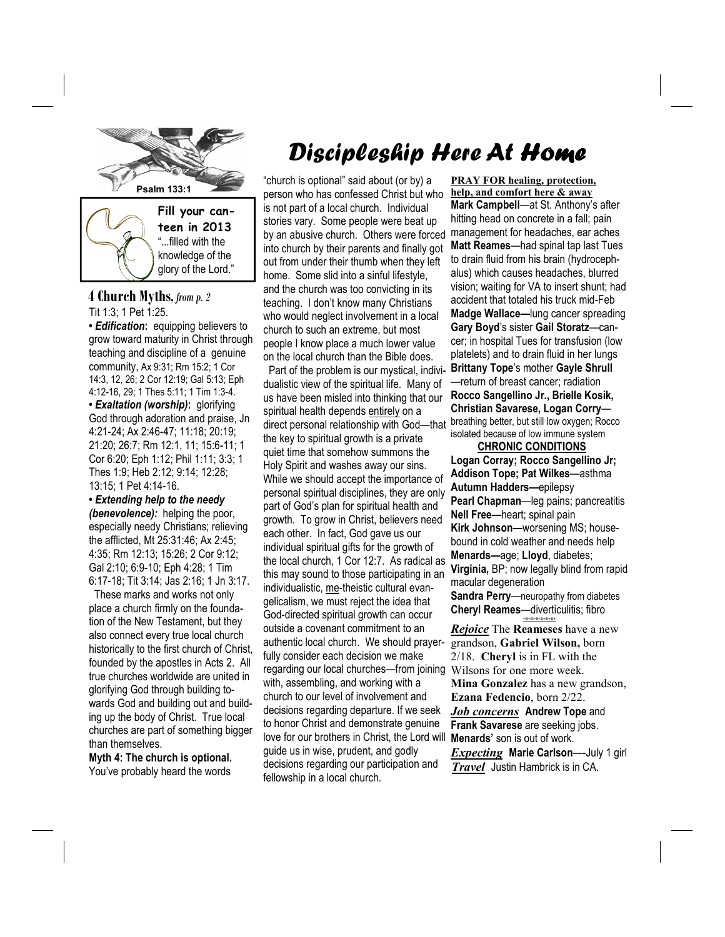

**4 Church Myths,** *from p. 2* Tit 1:3; 1 Pet 1:25.

**•** *Edification***:** equipping believers to grow toward maturity in Christ through teaching and discipline of a genuine community, Ax 9:31; Rm 15:2; 1 Cor 14:3, 12, 26; 2 Cor 12:19; Gal 5:13; Eph 4:12-16, 29; 1 Thes 5:11; 1 Tim 1:3-4. **•** *Exaltation (worship)***:** glorifying God through adoration and praise, Jn 4:21-24; Ax 2:46-47; 11:18; 20:19; 21:20; 26:7; Rm 12:1, 11; 15:6-11; 1 Cor 6:20; Eph 1:12; Phil 1:11; 3:3; 1 Thes 1:9; Heb 2:12; 9:14; 12:28; 13:15; 1 Pet 4:14-16.

**•** *Extending help to the needy (benevolence):* helping the poor, especially needy Christians; relieving the afflicted, Mt 25:31:46; Ax 2:45; 4:35; Rm 12:13; 15:26; 2 Cor 9:12; Gal 2:10; 6:9-10; Eph 4:28; 1 Tim 6:17-18; Tit 3:14; Jas 2:16; 1 Jn 3:17.

 These marks and works not only place a church firmly on the foundation of the New Testament, but they also connect every true local church historically to the first church of Christ, founded by the apostles in Acts 2. All true churches worldwide are united in glorifying God through building towards God and building out and building up the body of Christ. True local churches are part of something bigger than themselves.

**Myth 4: The church is optional.**  You've probably heard the words

# Discipleship Here At Home

"church is optional" said about (or by) a person who has confessed Christ but who is not part of a local church. Individual stories vary. Some people were beat up by an abusive church. Others were forced into church by their parents and finally got out from under their thumb when they left home. Some slid into a sinful lifestyle, and the church was too convicting in its teaching. I don't know many Christians who would neglect involvement in a local church to such an extreme, but most people I know place a much lower value on the local church than the Bible does.

 Part of the problem is our mystical, individualistic view of the spiritual life. Many of us have been misled into thinking that our spiritual health depends entirely on a direct personal relationship with God—that the key to spiritual growth is a private quiet time that somehow summons the Holy Spirit and washes away our sins. While we should accept the importance of personal spiritual disciplines, they are only part of God's plan for spiritual health and growth. To grow in Christ, believers need each other. In fact, God gave us our individual spiritual gifts for the growth of the local church, 1 Cor 12:7. As radical as this may sound to those participating in an individualistic, me-theistic cultural evangelicalism, we must reject the idea that God-directed spiritual growth can occur outside a covenant commitment to an authentic local church. We should prayerfully consider each decision we make regarding our local churches—from joining with, assembling, and working with a church to our level of involvement and decisions regarding departure. If we seek to honor Christ and demonstrate genuine love for our brothers in Christ, the Lord will guide us in wise, prudent, and godly decisions regarding our participation and fellowship in a local church.

**PRAY FOR healing, protection, help, and comfort here & away Mark Campbell**—at St. Anthony's after hitting head on concrete in a fall; pain management for headaches, ear aches **Matt Reames**—had spinal tap last Tues to drain fluid from his brain (hydrocephalus) which causes headaches, blurred vision; waiting for VA to insert shunt; had accident that totaled his truck mid-Feb **Madge Wallace—**lung cancer spreading **Gary Boyd**'s sister **Gail Storatz**—cancer; in hospital Tues for transfusion (low platelets) and to drain fluid in her lungs **Brittany Tope**'s mother **Gayle Shrull**  —return of breast cancer; radiation **Rocco Sangellino Jr., Brielle Kosik, Christian Savarese, Logan Corry** breathing better, but still low oxygen; Rocco isolated because of low immune system

 **CHRONIC CONDITIONS Logan Corray; Rocco Sangellino Jr; Addison Tope; Pat Wilkes**—asthma **Autumn Hadders—**epilepsy **Pearl Chapman**—leg pains; pancreatitis **Nell Free—**heart; spinal pain **Kirk Johnson—**worsening MS; housebound in cold weather and needs help **Menards—**age; **Lloyd**, diabetes; **Virginia,** BP; now legally blind from rapid macular degeneration **Sandra Perry**—neuropathy from diabetes **Cheryl Reames**—diverticulitis; fibro *+#+#+#+#+#+#+*

*Rejoice* The **Reameses** have a new grandson, **Gabriel Wilson,** born 2/18. **Cheryl** is in FL with the Wilsons for one more week. **Mina Gonzalez** has a new grandson, **Ezana Fedencio**, born 2/22. *Job concerns* **Andrew Tope** and **Frank Savarese** are seeking jobs. **Menards'** son is out of work. *Expecting* **Marie Carlson**—-July 1 girl *Travel* Justin Hambrick is in CA.